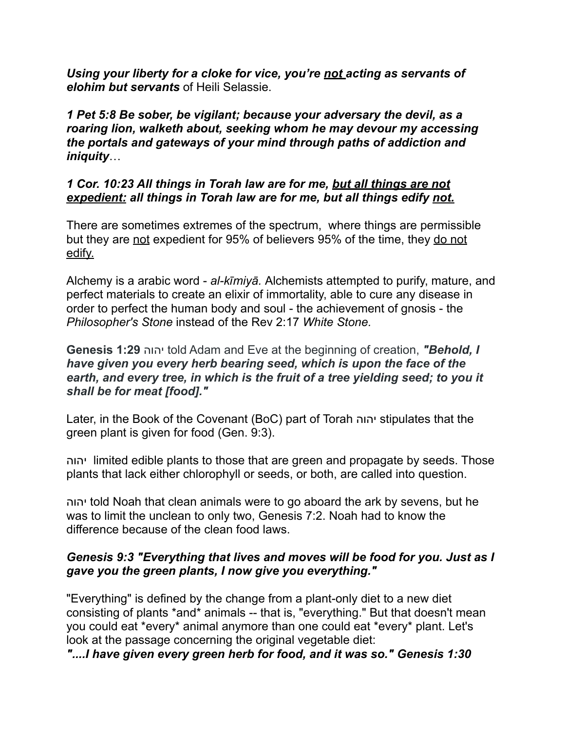*Using your liberty for a cloke for vice, you're not acting as servants of elohim but servants* of Heili Selassie.

*1 Pet 5:8 Be sober, be vigilant; because your adversary the devil, as a roaring lion, walketh about, seeking whom he may devour my accessing the portals and gateways of your mind through paths of addiction and iniquity*…

## *1 Cor. 10:23 All things in Torah law are for me, but all things are not expedient: all things in Torah law are for me, but all things edify not.*

There are sometimes extremes of the spectrum, where things are permissible but they are not expedient for 95% of believers 95% of the time, they do not edify.

Alchemy is a arabic word - *al-kīmiyā.* Alchemists attempted to purify, mature, and perfect materials to create an elixir of immortality, able to cure any disease in order to perfect the human body and soul - the achievement of gnosis - the *Philosopher's Stone* instead of the Rev 2:17 *White Stone.*

**Genesis 1:29** יהוה told Adam and Eve at the beginning of creation, *"Behold, I have given you every herb bearing seed, which is upon the face of the earth, and every tree, in which is the fruit of a tree yielding seed; to you it shall be for meat [food]."* 

Later, in the Book of the Covenant (BoC) part of Torah יהוה stipulates that the green plant is given for food (Gen. 9:3).

יהוה limited edible plants to those that are green and propagate by seeds. Those plants that lack either chlorophyll or seeds, or both, are called into question.

יהוה told Noah that clean animals were to go aboard the ark by sevens, but he was to limit the unclean to only two, Genesis 7:2. Noah had to know the difference because of the clean food laws.

## *Genesis 9:3 "Everything that lives and moves will be food for you. Just as I gave you the green plants, I now give you everything."*

"Everything" is defined by the change from a plant-only diet to a new diet consisting of plants \*and\* animals -- that is, "everything." But that doesn't mean you could eat \*every\* animal anymore than one could eat \*every\* plant. Let's look at the passage concerning the original vegetable diet:

*"....I have given every green herb for food, and it was so." Genesis 1:30*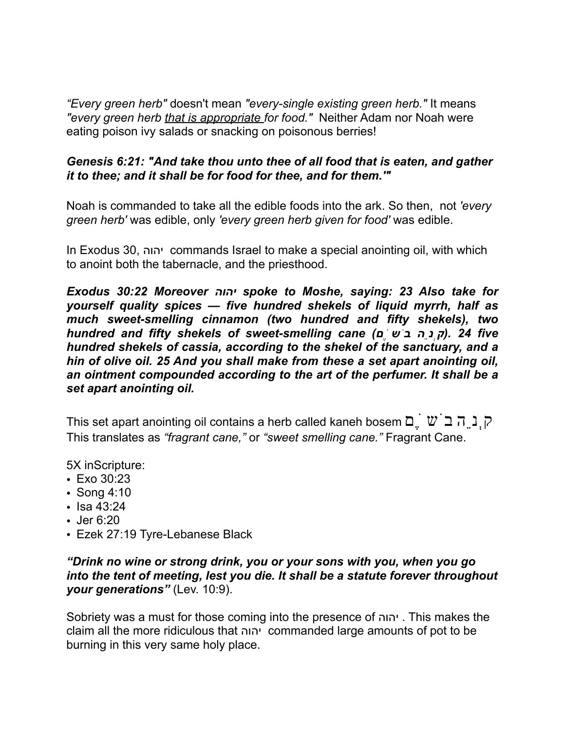*"Every green herb"* doesn't mean *"every-single existing green herb."* It means *"every green herb that is appropriate for food."* Neither Adam nor Noah were eating poison ivy salads or snacking on poisonous berries!

## *Genesis 6:21: "And take thou unto thee of all food that is eaten, and gather it to thee; and it shall be for food for thee, and for them.'"*

Noah is commanded to take all the edible foods into the ark. So then, not *'every green herb'* was edible, only *'every green herb given for food'* was edible.

In Exodus 30, יהוה commands Israel to make a special anointing oil, with which to anoint both the tabernacle, and the priesthood.

*Exodus 30:22 Moreover יהוה spoke to Moshe, saying: 23 Also take for yourself quality spices — five hundred shekels of liquid myrrh, half as much sweet-smelling cinnamon (two hundred and fifty shekels), two hundred and fifty shekels of sweet-smelling cane (םֶׂשֹב הֵנְק(. 24 five hundred shekels of cassia, according to the shekel of the sanctuary, and a hin of olive oil. 25 And you shall make from these a set apart anointing oil, an ointment compounded according to the art of the perfumer. It shall be a set apart anointing oil.* 

This set apart anointing oil contains a herb called kaneh bosem  $\Box$   $\Box$   $\Box$   $\Box$   $\Box$ This translates as *"fragrant cane,"* or *"sweet smelling cane."* Fragrant Cane.

5X inScripture:

- Exo 30:23
- Song 4:10
- Isa 43:24
- Jer 6:20
- Ezek 27:19 Tyre-Lebanese Black

## *"Drink no wine or strong drink, you or your sons with you, when you go into the tent of meeting, lest you die. It shall be a statute forever throughout your generations"* (Lev. 10:9).

Sobriety was a must for those coming into the presence of יהוה . This makes the claim all the more ridiculous that יהוה commanded large amounts of pot to be burning in this very same holy place.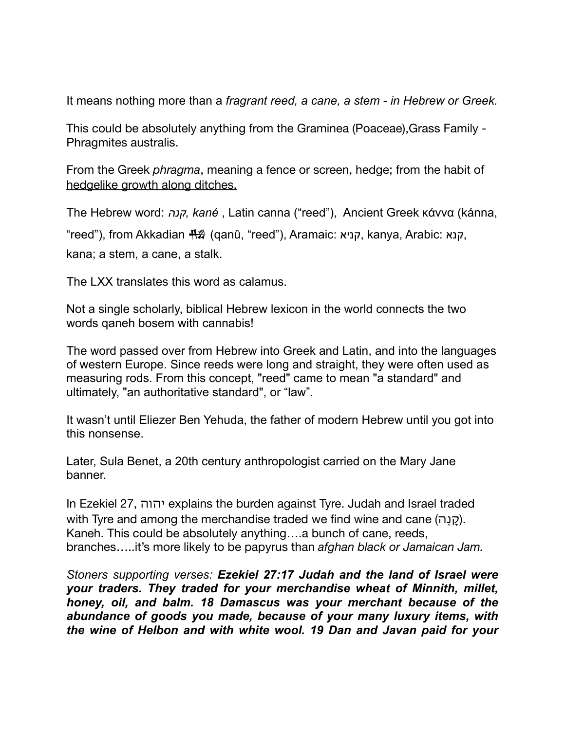It means nothing more than a *fragrant reed, a cane, a stem - in Hebrew or Greek.* 

This could be absolutely anything from the Graminea (Poaceae),Grass Family - Phragmites australis.

From the Greek *phragma*, meaning a fence or screen, hedge; from the habit of hedgelike growth along ditches.

The Hebrew word: *קנה, kané* , Latin canna ("reed"), Ancient Greek κάννα (kánna,

"reed"), from Akkadian <del> $\frac{1000}{1000}$  (</del>qanû, "reed"), Aramaic: קניא, kanya, Arabic: קנא,

kana; a stem, a cane, a stalk.

The LXX translates this word as calamus.

Not a single scholarly, biblical Hebrew lexicon in the world connects the two words qaneh bosem with cannabis!

The word passed over from Hebrew into Greek and Latin, and into the languages of western Europe. Since reeds were long and straight, they were often used as measuring rods. From this concept, "reed" came to mean "a standard" and ultimately, "an authoritative standard", or "law".

It wasn't until Eliezer Ben Yehuda, the father of modern Hebrew until you got into this nonsense.

Later, Sula Benet, a 20th century anthropologist carried on the Mary Jane banner.

In Ezekiel 27, יהוה explains the burden against Tyre. Judah and Israel traded with Tyre and among the merchandise traded we find wine and cane (ה $(5)$ ו $(6)$ . Kaneh. This could be absolutely anything….a bunch of cane, reeds, branches…..it's more likely to be papyrus than *afghan black or Jamaican Jam.* 

*Stoners supporting verses: Ezekiel 27:17 Judah and the land of Israel were your traders. They traded for your merchandise wheat of Minnith, millet, honey, oil, and balm. 18 Damascus was your merchant because of the abundance of goods you made, because of your many luxury items, with the wine of Helbon and with white wool. 19 Dan and Javan paid for your*